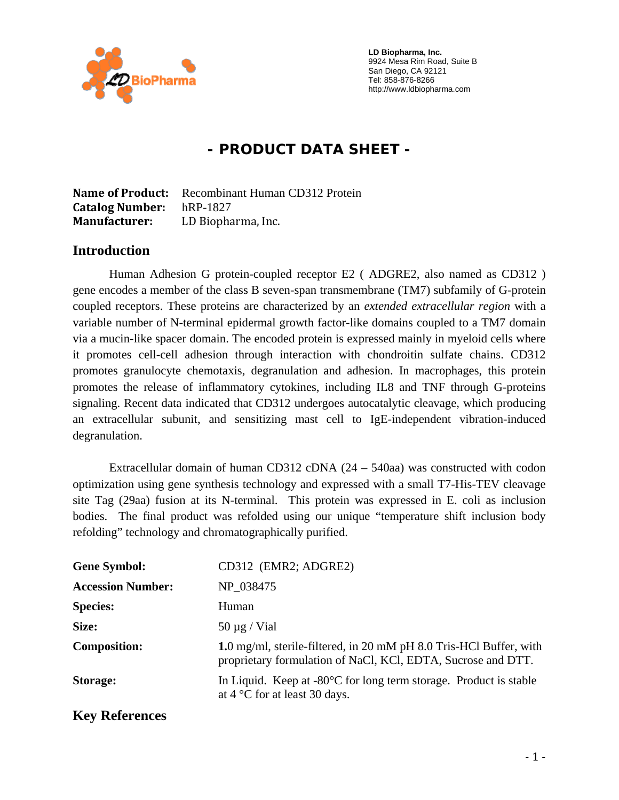

 **LD Biopharma, Inc.**  9924 Mesa Rim Road, Suite B San Diego, CA 92121 Tel: 858-876-8266 http://www.ldbiopharma.com

# **- PRODUCT DATA SHEET -**

**Name of Product:** Recombinant Human CD312 Protein **Catalog Number:** hRP-1827 **Manufacturer:** LD Biopharma, Inc.

#### **Introduction**

Human Adhesion G protein-coupled receptor E2 ( ADGRE2, also named as CD312 ) gene encodes a member of the class B seven-span transmembrane (TM7) subfamily of G-protein coupled receptors. These proteins are characterized by an *extended extracellular region* with a variable number of N-terminal epidermal growth factor-like domains coupled to a TM7 domain via a mucin-like spacer domain. The encoded protein is expressed mainly in myeloid cells where it promotes cell-cell adhesion through interaction with chondroitin sulfate chains. CD312 promotes granulocyte chemotaxis, degranulation and adhesion. In macrophages, this protein promotes the release of inflammatory cytokines, including IL8 and TNF through G-proteins signaling. Recent data indicated that CD312 undergoes autocatalytic cleavage, which producing an extracellular subunit, and sensitizing mast cell to IgE-independent vibration-induced degranulation.

Extracellular domain of human CD312 cDNA (24 – 540aa) was constructed with codon optimization using gene synthesis technology and expressed with a small T7-His-TEV cleavage site Tag (29aa) fusion at its N-terminal. This protein was expressed in E. coli as inclusion bodies. The final product was refolded using our unique "temperature shift inclusion body refolding" technology and chromatographically purified.

| <b>Gene Symbol:</b>      | CD312 (EMR2; ADGRE2)                                                                                                               |
|--------------------------|------------------------------------------------------------------------------------------------------------------------------------|
| <b>Accession Number:</b> | NP_038475                                                                                                                          |
| <b>Species:</b>          | Human                                                                                                                              |
| Size:                    | $50 \mu g$ / Vial                                                                                                                  |
| <b>Composition:</b>      | 1.0 mg/ml, sterile-filtered, in 20 mM pH 8.0 Tris-HCl Buffer, with<br>proprietary formulation of NaCl, KCl, EDTA, Sucrose and DTT. |
| <b>Storage:</b>          | In Liquid. Keep at $-80^{\circ}$ C for long term storage. Product is stable<br>at $4^{\circ}$ C for at least 30 days.              |
| <b>Key References</b>    |                                                                                                                                    |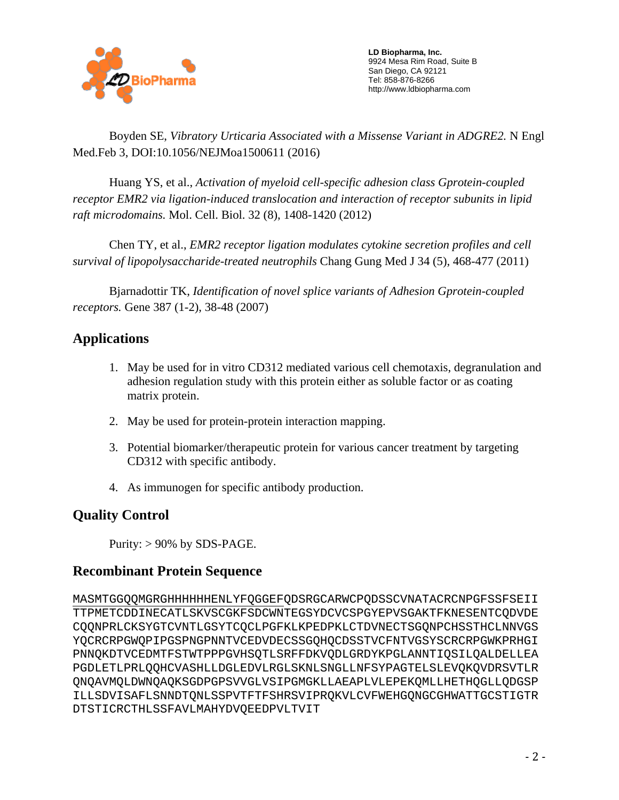

 **LD Biopharma, Inc.**  9924 Mesa Rim Road, Suite B San Diego, CA 92121 Tel: 858-876-8266 http://www.ldbiopharma.com

 Boyden SE, *Vibratory Urticaria Associated with a Missense Variant in ADGRE2.* N Engl Med.Feb 3, DOI:10.1056/NEJMoa1500611 (2016)

 Huang YS, et al., *Activation of myeloid cell-specific adhesion class Gprotein-coupled receptor EMR2 via ligation-induced translocation and interaction of receptor subunits in lipid raft microdomains.* Mol. Cell. Biol. 32 (8), 1408-1420 (2012)

 Chen TY, et al., *EMR2 receptor ligation modulates cytokine secretion profiles and cell survival of lipopolysaccharide-treated neutrophils* Chang Gung Med J 34 (5), 468-477 (2011)

 Bjarnadottir TK, *Identification of novel splice variants of Adhesion Gprotein-coupled receptors.* Gene 387 (1-2), 38-48 (2007)

# **Applications**

- 1. May be used for in vitro CD312 mediated various cell chemotaxis, degranulation and adhesion regulation study with this protein either as soluble factor or as coating matrix protein.
- 2. May be used for protein-protein interaction mapping.
- 3. Potential biomarker/therapeutic protein for various cancer treatment by targeting CD312 with specific antibody.
- 4. As immunogen for specific antibody production.

## **Quality Control**

Purity:  $> 90\%$  by SDS-PAGE.

## **Recombinant Protein Sequence**

MASMTGGQQMGRGHHHHHHENLYFQGGEFQDSRGCARWCPQDSSCVNATACRCNPGFSSFSEII TTPMETCDDINECATLSKVSCGKFSDCWNTEGSYDCVCSPGYEPVSGAKTFKNESENTCQDVDE CQQNPRLCKSYGTCVNTLGSYTCQCLPGFKLKPEDPKLCTDVNECTSGQNPCHSSTHCLNNVGS YQCRCRPGWQPIPGSPNGPNNTVCEDVDECSSGQHQCDSSTVCFNTVGSYSCRCRPGWKPRHGI PNNQKDTVCEDMTFSTWTPPPGVHSQTLSRFFDKVQDLGRDYKPGLANNTIQSILQALDELLEA PGDLETLPRLQQHCVASHLLDGLEDVLRGLSKNLSNGLLNFSYPAGTELSLEVQKQVDRSVTLR QNQAVMQLDWNQAQKSGDPGPSVVGLVSIPGMGKLLAEAPLVLEPEKQMLLHETHQGLLQDGSP ILLSDVISAFLSNNDTQNLSSPVTFTFSHRSVIPRQKVLCVFWEHGQNGCGHWATTGCSTIGTR DTSTICRCTHLSSFAVLMAHYDVQEEDPVLTVIT